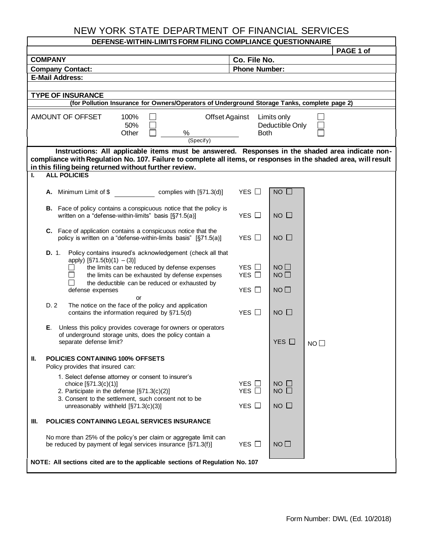## NEW YORK STATE DEPARTMENT OF FINANCIAL SERVICES

| DEFENSE-WITHIN-LIMITS FORM FILING COMPLIANCE QUESTIONNAIRE                                                                                                                                                                                                                                         |                                        |                                               |           |  |  |  |  |  |  |
|----------------------------------------------------------------------------------------------------------------------------------------------------------------------------------------------------------------------------------------------------------------------------------------------------|----------------------------------------|-----------------------------------------------|-----------|--|--|--|--|--|--|
|                                                                                                                                                                                                                                                                                                    |                                        |                                               | PAGE 1 of |  |  |  |  |  |  |
| <b>COMPANY</b>                                                                                                                                                                                                                                                                                     | Co. File No.                           |                                               |           |  |  |  |  |  |  |
| <b>Company Contact:</b><br><b>E-Mail Address:</b>                                                                                                                                                                                                                                                  | <b>Phone Number:</b>                   |                                               |           |  |  |  |  |  |  |
|                                                                                                                                                                                                                                                                                                    |                                        |                                               |           |  |  |  |  |  |  |
| <b>TYPE OF INSURANCE</b>                                                                                                                                                                                                                                                                           |                                        |                                               |           |  |  |  |  |  |  |
| (for Pollution Insurance for Owners/Operators of Underground Storage Tanks, complete page 2)                                                                                                                                                                                                       |                                        |                                               |           |  |  |  |  |  |  |
| AMOUNT OF OFFSET<br>100%<br>50%<br>Other<br>$\%$<br>(Specify)                                                                                                                                                                                                                                      | <b>Offset Against</b>                  | Limits only<br>Deductible Only<br><b>Both</b> |           |  |  |  |  |  |  |
| Instructions: All applicable items must be answered. Responses in the shaded area indicate non-<br>compliance with Regulation No. 107. Failure to complete all items, or responses in the shaded area, will result<br>in this filing being returned without further review.<br><b>ALL POLICIES</b> |                                        |                                               |           |  |  |  |  |  |  |
|                                                                                                                                                                                                                                                                                                    |                                        |                                               |           |  |  |  |  |  |  |
| Minimum Limit of \$<br>complies with [§71.3(d)]<br>А.                                                                                                                                                                                                                                              | YES $\Box$                             | $NO$ $\Box$                                   |           |  |  |  |  |  |  |
| <b>B.</b> Face of policy contains a conspicuous notice that the policy is<br>written on a "defense-within-limits" basis [§71.5(a)]                                                                                                                                                                 | YES $\Box$                             | $NO$ $\Box$                                   |           |  |  |  |  |  |  |
| C. Face of application contains a conspicuous notice that the<br>policy is written on a "defense-within-limits basis" [§71.5(a)]                                                                                                                                                                   | YES $\Box$                             | $NO$ $\Box$                                   |           |  |  |  |  |  |  |
| D. 1.<br>Policy contains insured's acknowledgement (check all that<br>apply) $[§71.5(b)(1) - (3)]$<br>the limits can be reduced by defense expenses<br>the limits can be exhausted by defense expenses<br>the deductible can be reduced or exhausted by<br>defense expenses                        | YES $\Box$<br>YES $\Box$<br>YES $\Box$ | NO <sub>1</sub><br>NO<br>$NO$ $\Box$          |           |  |  |  |  |  |  |
| or<br>The notice on the face of the policy and application<br>D. 2<br>contains the information required by §71.5(d)                                                                                                                                                                                | YES $\Box$                             | $NO$ $\Box$                                   |           |  |  |  |  |  |  |
| Е.<br>Unless this policy provides coverage for owners or operators<br>of underground storage units, does the policy contain a<br>separate defense limit?                                                                                                                                           |                                        | YES $\square$                                 | NO L      |  |  |  |  |  |  |
| Ш.<br><b>POLICIES CONTAINING 100% OFFSETS</b><br>Policy provides that insured can:                                                                                                                                                                                                                 |                                        |                                               |           |  |  |  |  |  |  |
| 1. Select defense attorney or consent to insurer's<br>choice [§71.3(c)(1)]<br>2. Participate in the defense [§71.3(c)(2)]<br>3. Consent to the settlement, such consent not to be<br>unreasonably withheld $[§71.3(c)(3)]$                                                                         | YES $\Box$<br>YES $\Box$<br>YES $\Box$ | $NO \Box$<br>$NO$ $\Box$<br>$NO$ $\Box$       |           |  |  |  |  |  |  |
| POLICIES CONTAINING LEGAL SERVICES INSURANCE<br>Ш.                                                                                                                                                                                                                                                 |                                        |                                               |           |  |  |  |  |  |  |
| No more than 25% of the policy's per claim or aggregate limit can<br>be reduced by payment of legal services insurance [§71.3(f)]                                                                                                                                                                  | YES $\Box$                             | $NO$ $\Box$                                   |           |  |  |  |  |  |  |
| NOTE: All sections cited are to the applicable sections of Regulation No. 107                                                                                                                                                                                                                      |                                        |                                               |           |  |  |  |  |  |  |